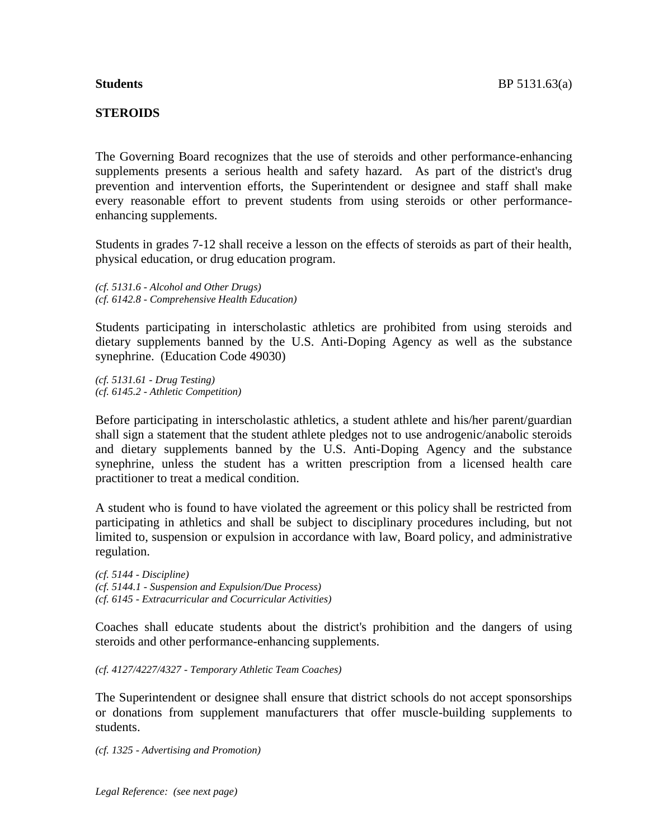The Governing Board recognizes that the use of steroids and other performance-enhancing supplements presents a serious health and safety hazard. As part of the district's drug prevention and intervention efforts, the Superintendent or designee and staff shall make every reasonable effort to prevent students from using steroids or other performanceenhancing supplements.

Students in grades 7-12 shall receive a lesson on the effects of steroids as part of their health, physical education, or drug education program.

*(cf. 5131.6 - Alcohol and Other Drugs) (cf. 6142.8 - Comprehensive Health Education)*

Students participating in interscholastic athletics are prohibited from using steroids and dietary supplements banned by the U.S. Anti-Doping Agency as well as the substance synephrine. (Education Code 49030)

*(cf. 5131.61 - Drug Testing) (cf. 6145.2 - Athletic Competition)*

Before participating in interscholastic athletics, a student athlete and his/her parent/guardian shall sign a statement that the student athlete pledges not to use androgenic/anabolic steroids and dietary supplements banned by the U.S. Anti-Doping Agency and the substance synephrine, unless the student has a written prescription from a licensed health care practitioner to treat a medical condition.

A student who is found to have violated the agreement or this policy shall be restricted from participating in athletics and shall be subject to disciplinary procedures including, but not limited to, suspension or expulsion in accordance with law, Board policy, and administrative regulation.

*(cf. 5144 - Discipline) (cf. 5144.1 - Suspension and Expulsion/Due Process) (cf. 6145 - Extracurricular and Cocurricular Activities)*

Coaches shall educate students about the district's prohibition and the dangers of using steroids and other performance-enhancing supplements.

*(cf. 4127/4227/4327 - Temporary Athletic Team Coaches)*

The Superintendent or designee shall ensure that district schools do not accept sponsorships or donations from supplement manufacturers that offer muscle-building supplements to students.

*(cf. 1325 - Advertising and Promotion)*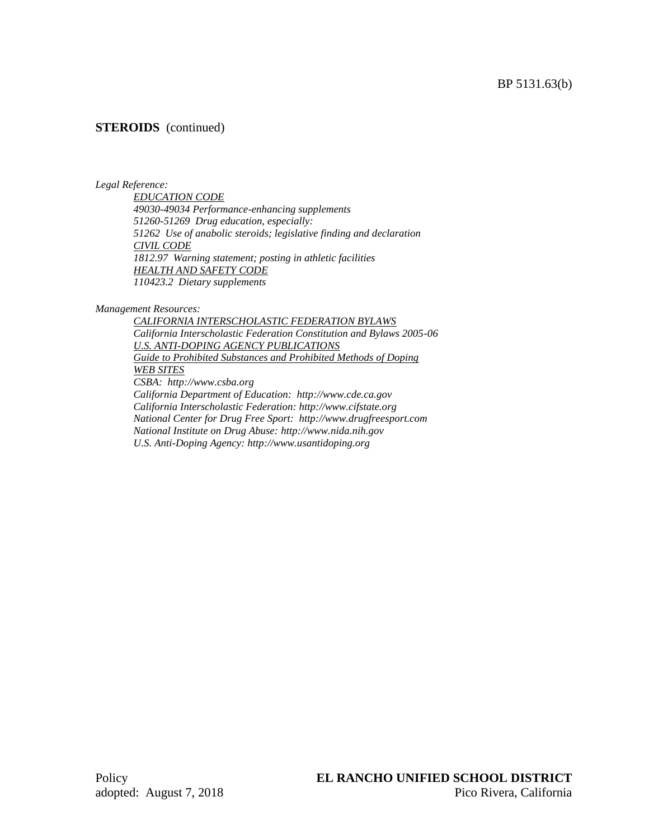# **STEROIDS** (continued)

### *Legal Reference:*

*EDUCATION CODE 49030-49034 Performance-enhancing supplements 51260-51269 Drug education, especially: 51262 Use of anabolic steroids; legislative finding and declaration CIVIL CODE 1812.97 Warning statement; posting in athletic facilities HEALTH AND SAFETY CODE 110423.2 Dietary supplements*

*Management Resources:*

*CALIFORNIA INTERSCHOLASTIC FEDERATION BYLAWS California Interscholastic Federation Constitution and Bylaws 2005-06 U.S. ANTI-DOPING AGENCY PUBLICATIONS Guide to Prohibited Substances and Prohibited Methods of Doping WEB SITES CSBA: http://www.csba.org California Department of Education: http://www.cde.ca.gov California Interscholastic Federation: http://www.cifstate.org National Center for Drug Free Sport: http://www.drugfreesport.com National Institute on Drug Abuse: http://www.nida.nih.gov U.S. Anti-Doping Agency: http://www.usantidoping.org*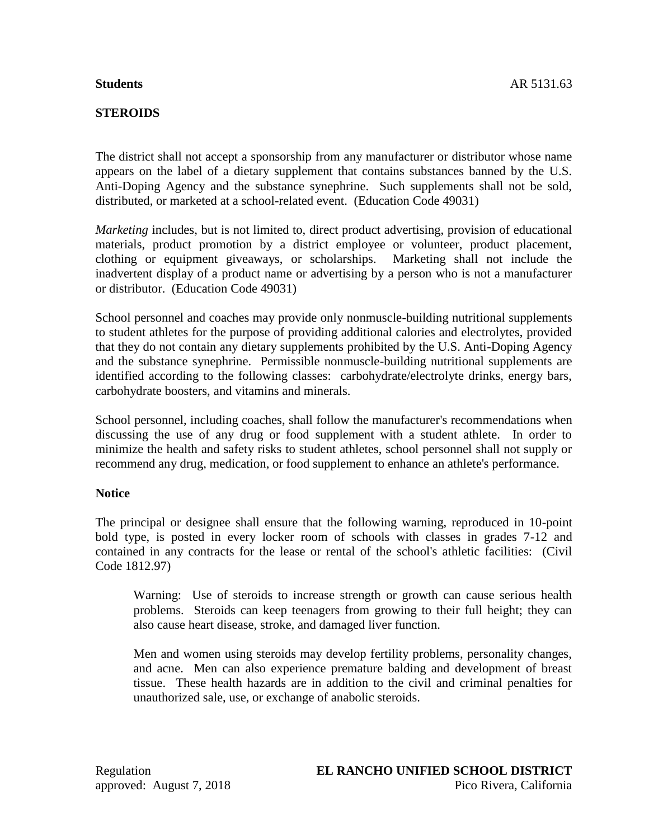# **STEROIDS**

The district shall not accept a sponsorship from any manufacturer or distributor whose name appears on the label of a dietary supplement that contains substances banned by the U.S. Anti-Doping Agency and the substance synephrine. Such supplements shall not be sold, distributed, or marketed at a school-related event. (Education Code 49031)

*Marketing* includes, but is not limited to, direct product advertising, provision of educational materials, product promotion by a district employee or volunteer, product placement, clothing or equipment giveaways, or scholarships. Marketing shall not include the inadvertent display of a product name or advertising by a person who is not a manufacturer or distributor. (Education Code 49031)

School personnel and coaches may provide only nonmuscle-building nutritional supplements to student athletes for the purpose of providing additional calories and electrolytes, provided that they do not contain any dietary supplements prohibited by the U.S. Anti-Doping Agency and the substance synephrine. Permissible nonmuscle-building nutritional supplements are identified according to the following classes: carbohydrate/electrolyte drinks, energy bars, carbohydrate boosters, and vitamins and minerals.

School personnel, including coaches, shall follow the manufacturer's recommendations when discussing the use of any drug or food supplement with a student athlete. In order to minimize the health and safety risks to student athletes, school personnel shall not supply or recommend any drug, medication, or food supplement to enhance an athlete's performance.

## **Notice**

The principal or designee shall ensure that the following warning, reproduced in 10-point bold type, is posted in every locker room of schools with classes in grades 7-12 and contained in any contracts for the lease or rental of the school's athletic facilities: (Civil Code 1812.97)

Warning: Use of steroids to increase strength or growth can cause serious health problems. Steroids can keep teenagers from growing to their full height; they can also cause heart disease, stroke, and damaged liver function.

Men and women using steroids may develop fertility problems, personality changes, and acne. Men can also experience premature balding and development of breast tissue. These health hazards are in addition to the civil and criminal penalties for unauthorized sale, use, or exchange of anabolic steroids.